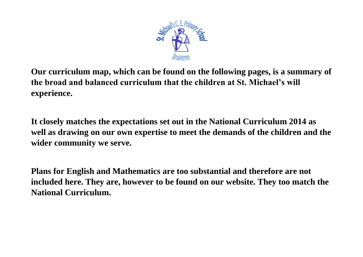

**Our curriculum map, which can be found on the following pages, is a summary of the broad and balanced curriculum that the children at St. Michael's will experience.** 

**It closely matches the expectations set out in the National Curriculum 2014 as well as drawing on our own expertise to meet the demands of the children and the wider community we serve.**

**Plans for English and Mathematics are too substantial and therefore are not included here. They are, however to be found on our website. They too match the National Curriculum.**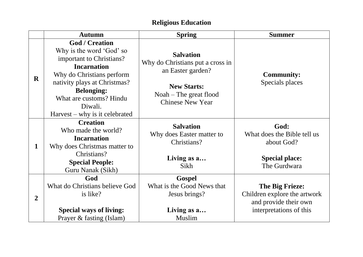## **Religious Education**

|                | <b>Autumn</b>                                                                                                                                                                                                                                                   | <b>Spring</b>                                                                                                                                           | <b>Summer</b>                                                                                       |
|----------------|-----------------------------------------------------------------------------------------------------------------------------------------------------------------------------------------------------------------------------------------------------------------|---------------------------------------------------------------------------------------------------------------------------------------------------------|-----------------------------------------------------------------------------------------------------|
| $\mathbf{R}$   | <b>God / Creation</b><br>Why is the word 'God' so<br>important to Christians?<br><b>Incarnation</b><br>Why do Christians perform<br>nativity plays at Christmas?<br><b>Belonging:</b><br>What are customs? Hindu<br>Diwali.<br>$Harvest - why is it celebrated$ | <b>Salvation</b><br>Why do Christians put a cross in<br>an Easter garden?<br><b>New Starts:</b><br>$N$ oah – The great flood<br><b>Chinese New Year</b> | <b>Community:</b><br>Specials places                                                                |
| $\mathbf{1}$   | <b>Creation</b><br>Who made the world?<br><b>Incarnation</b><br>Why does Christmas matter to<br>Christians?<br><b>Special People:</b><br>Guru Nanak (Sikh)                                                                                                      | <b>Salvation</b><br>Why does Easter matter to<br>Christians?<br>Living as a<br>Sikh                                                                     | God:<br>What does the Bible tell us<br>about God?<br><b>Special place:</b><br>The Gurdwara          |
| $\overline{2}$ | God<br>What do Christians believe God<br>is like?<br><b>Special ways of living:</b><br>Prayer & fasting (Islam)                                                                                                                                                 | <b>Gospel</b><br>What is the Good News that<br>Jesus brings?<br>Living as a<br><b>Muslim</b>                                                            | The Big Frieze:<br>Children explore the artwork<br>and provide their own<br>interpretations of this |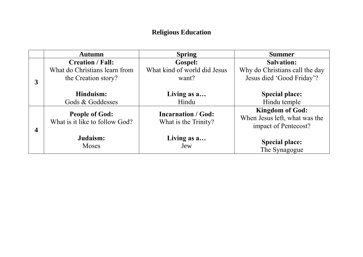## **Religious Education**

|   | <b>Autumn</b>                                           | <b>Spring</b>                                     | <b>Summer</b>                                                                   |
|---|---------------------------------------------------------|---------------------------------------------------|---------------------------------------------------------------------------------|
|   | <b>Creation / Fall:</b>                                 | <b>Gospel:</b>                                    | <b>Salvation:</b>                                                               |
| 3 | What do Christians learn from<br>the Creation story?    | What kind of world did Jesus<br>want?             | Why do Christians call the day<br>Jesus died 'Good Friday'?                     |
|   | Hinduism:<br>Gods & Goddesses                           | Living as a<br>Hindu                              | <b>Special place:</b><br>Hindu temple                                           |
|   | <b>People of God:</b><br>What is it like to follow God? | <b>Incarnation / God:</b><br>What is the Trinity? | <b>Kingdom of God:</b><br>When Jesus left, what was the<br>impact of Pentecost? |
|   | Judaism:<br><b>Moses</b>                                | Living as a<br>Jew                                | <b>Special place:</b><br>The Synagogue                                          |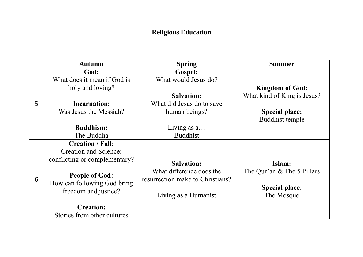## **Religious Education**

|   | <b>Autumn</b>                                                                                                                                                                                                               | <b>Spring</b>                                                                                                                                 | <b>Summer</b>                                                                                            |
|---|-----------------------------------------------------------------------------------------------------------------------------------------------------------------------------------------------------------------------------|-----------------------------------------------------------------------------------------------------------------------------------------------|----------------------------------------------------------------------------------------------------------|
| 5 | God:<br>What does it mean if God is<br>holy and loving?<br><b>Incarnation:</b><br>Was Jesus the Messiah?<br><b>Buddhism:</b><br>The Buddha                                                                                  | <b>Gospel:</b><br>What would Jesus do?<br><b>Salvation:</b><br>What did Jesus do to save<br>human beings?<br>Living as $a$<br><b>Buddhist</b> | <b>Kingdom of God:</b><br>What kind of King is Jesus?<br><b>Special place:</b><br><b>Buddhist temple</b> |
| 6 | <b>Creation / Fall:</b><br><b>Creation and Science:</b><br>conflicting or complementary?<br><b>People of God:</b><br>How can following God bring<br>freedom and justice?<br><b>Creation:</b><br>Stories from other cultures | <b>Salvation:</b><br>What difference does the<br>resurrection make to Christians?<br>Living as a Humanist                                     | Islam:<br>The Qur'an & The 5 Pillars<br><b>Special place:</b><br>The Mosque                              |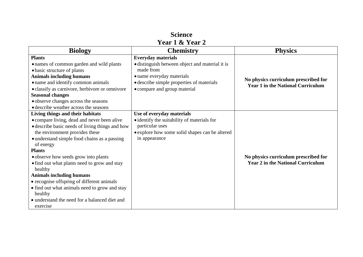| <b>Science</b> |                 |  |  |  |
|----------------|-----------------|--|--|--|
|                | Year 1 & Year 2 |  |  |  |

| <b>Biology</b>                                                                                                                                                                                                                                                                                                                                                                                                                                                                                                                                                  | <b>Chemistry</b>                                                                                                                                                                                    | <b>Physics</b>                                                                   |
|-----------------------------------------------------------------------------------------------------------------------------------------------------------------------------------------------------------------------------------------------------------------------------------------------------------------------------------------------------------------------------------------------------------------------------------------------------------------------------------------------------------------------------------------------------------------|-----------------------------------------------------------------------------------------------------------------------------------------------------------------------------------------------------|----------------------------------------------------------------------------------|
| <b>Plants</b><br>• names of common garden and wild plants<br>• basic structure of plants<br><b>Animals including humans</b><br>• name and identify common animals<br>• classify as carnivore, herbivore or omnivore<br><b>Seasonal changes</b><br>· observe changes across the seasons<br>• describe weather across the seasons                                                                                                                                                                                                                                 | <b>Everyday materials</b><br>• distinguish between object and material it is<br>made from<br>• name everyday materials<br>• describe simple properties of materials<br>• compare and group material | No physics curriculum prescribed for<br><b>Year 1 in the National Curriculum</b> |
| Living things and their habitats<br>• compare living, dead and never been alive<br>• describe basic needs of living things and how<br>the environment provides these<br>• understand simple food chains as a passing<br>of energy<br><b>Plants</b><br>• observe how seeds grow into plants<br>• find out what plants need to grow and stay<br>healthy<br><b>Animals including humans</b><br>• recognise offspring of different animals<br>• find out what animals need to grow and stay<br>healthy<br>• understand the need for a balanced diet and<br>exercise | Use of everyday materials<br>• identify the suitability of materials for<br>particular uses<br>• explore how some solid shapes can be altered<br>in appearance                                      | No physics curriculum prescribed for<br><b>Year 2 in the National Curriculum</b> |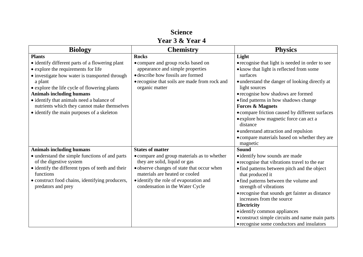#### **Science Year 3 & Year 4**

| <b>Biology</b>                                    | <b>Chemistry</b>                              | <b>Physics</b>                                   |
|---------------------------------------------------|-----------------------------------------------|--------------------------------------------------|
| <b>Plants</b>                                     | <b>Rocks</b>                                  | Light                                            |
| • identify different parts of a flowering plant   | • compare and group rocks based on            | • recognise that light is needed in order to see |
| • explore the requirements for life               | appearance and simple properties              | • know that light is reflected from some         |
| • investigate how water is transported through    | • describe how fossils are formed             | surfaces                                         |
| a plant                                           | • recognise that soils are made from rock and | • understand the danger of looking directly at   |
| • explore the life cycle of flowering plants      | organic matter                                | light sources                                    |
| <b>Animals including humans</b>                   |                                               | • recognise how shadows are formed               |
| • identify that animals need a balance of         |                                               | • find patterns in how shadows change            |
| nutrients which they cannot make themselves       |                                               | <b>Forces &amp; Magnets</b>                      |
| • identify the main purposes of a skeleton        |                                               | • compare friction caused by different surfaces  |
|                                                   |                                               | • explore how magnetic force can act a           |
|                                                   |                                               | distance                                         |
|                                                   |                                               | · understand attraction and repulsion            |
|                                                   |                                               | • compare materials based on whether they are    |
|                                                   |                                               | magnetic                                         |
| <b>Animals including humans</b>                   | <b>States of matter</b>                       | <b>Sound</b>                                     |
| • understand the simple functions of and parts    | • compare and group materials as to whether   | • identify how sounds are made                   |
| of the digestive system                           | they are solid, liquid or gas                 | • recognise that vibrations travel to the ear    |
| • identify the different types of teeth and their | • observe changes of state that occur when    | • find patterns between pitch and the object     |
| functions                                         | materials are heated or cooled                | that produced it                                 |
| · construct food chains, identifying producers,   | • identify the role of evaporation and        | • find patterns between the volume and           |
| predators and prey                                | condensation in the Water Cycle               | strength of vibrations                           |
|                                                   |                                               | • recognise that sounds get fainter as distance  |
|                                                   |                                               | increases from the source                        |
|                                                   |                                               | Electricity                                      |
|                                                   |                                               | • identify common appliances                     |
|                                                   |                                               | • construct simple circuits and name main parts  |
|                                                   |                                               | • recognise some conductors and insulators       |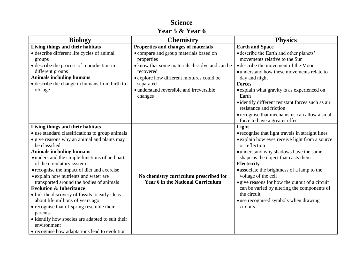| <b>Biology</b>                                                                    | <b>Chemistry</b>                                                                   | <b>Physics</b>                                                     |
|-----------------------------------------------------------------------------------|------------------------------------------------------------------------------------|--------------------------------------------------------------------|
| Living things and their habitats                                                  | Properties and changes of materials                                                | <b>Earth and Space</b>                                             |
| · describe different life cycles of animal                                        | • compare and group materials based on                                             | • describe the Earth and other planets'                            |
| groups                                                                            | properties                                                                         | movements relative to the Sun                                      |
| • describe the process of reproduction in                                         | • know that some materials dissolve and can be                                     | • describe the movement of the Moon                                |
| different groups                                                                  | recovered                                                                          | • understand how these movements relate to                         |
| <b>Animals including humans</b>                                                   | • explore how different mixtures could be                                          | day and night                                                      |
| • describe the change in humans from birth to                                     | separated                                                                          | <b>Forces</b>                                                      |
| old age                                                                           | · understand reversible and irreversible                                           | • explain what gravity is as experienced on                        |
|                                                                                   | changes                                                                            | Earth                                                              |
|                                                                                   |                                                                                    | • identify different resistant forces such as air                  |
|                                                                                   |                                                                                    | resistance and friction                                            |
|                                                                                   |                                                                                    | • recognise that mechanisms can allow a small                      |
|                                                                                   |                                                                                    | force to have a greater effect                                     |
| Living things and their habitats                                                  |                                                                                    | Light                                                              |
| • use standard classifications to group animals                                   |                                                                                    | • recognise that light travels in straight lines                   |
| • give reasons why an animal and plants may                                       |                                                                                    | • explain how eyes receive light from a source                     |
| be classified                                                                     |                                                                                    | or reflection                                                      |
| <b>Animals including humans</b>                                                   |                                                                                    | • understand why shadows have the same                             |
| • understand the simple functions of and parts                                    |                                                                                    | shape as the object that casts them                                |
| of the circulatory system                                                         |                                                                                    | Electricity                                                        |
| • recognise the impact of diet and exercise                                       |                                                                                    | • associate the brightness of a lamp to the<br>voltage of the cell |
| • explain how nutrients and water are<br>transported around the bodies of animals | No chemistry curriculum prescribed for<br><b>Year 6 in the National Curriculum</b> | • give reasons for how the output of a circuit                     |
| <b>Evolution &amp; Inheritance</b>                                                |                                                                                    | can be varied by altering the components of                        |
| • link the discovery of fossils to early ideas                                    |                                                                                    | the circuit                                                        |
| about life millions of years ago                                                  |                                                                                    | • use recognised symbols when drawing                              |
| • recognise that offspring resemble their                                         |                                                                                    | circuits                                                           |
| parents                                                                           |                                                                                    |                                                                    |
| • identify how species are adapted to suit their                                  |                                                                                    |                                                                    |
| environment                                                                       |                                                                                    |                                                                    |
| • recognise how adaptations lead to evolution                                     |                                                                                    |                                                                    |

## **Science Year 5 & Year 6**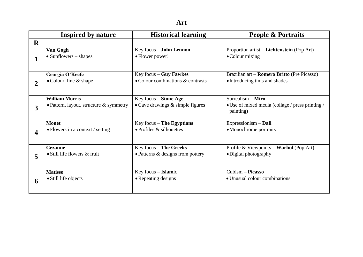|                                       | Inspired by nature                        | <b>Historical learning</b>                  | <b>People &amp; Portraits</b>                                         |  |
|---------------------------------------|-------------------------------------------|---------------------------------------------|-----------------------------------------------------------------------|--|
| $\mathbf R$                           |                                           |                                             |                                                                       |  |
|                                       | Van Gogh<br>$\bullet$ Sunflowers – shapes | Key focus - John Lennon<br>• Flower power!  | Proportion artist – Lichtenstein (Pop Art)<br>$\bullet$ Colour mixing |  |
|                                       |                                           |                                             |                                                                       |  |
|                                       | Georgia O'Keefe                           | Key focus $-$ Guy Fawkes                    | Brazilian art – Romero Britto (Pre Picasso)                           |  |
| $\overline{2}$                        | $\bullet$ Colour, line & shape            | • Colour combinations & contrasts           | • Introducing tints and shades                                        |  |
|                                       | <b>William Morris</b>                     | Key focus – Stone Age                       | Surrealism - Miro                                                     |  |
| 3                                     | • Pattern, layout, structure $&$ symmetry | $\bullet$ Cave drawings $\&$ simple figures | • Use of mixed media (collage / press printing /<br>painting)         |  |
|                                       | <b>Monet</b>                              | Key focus $-$ The Egyptians                 | Expressionism $-$ Dali                                                |  |
| • Flowers in a context / setting<br>4 |                                           | $\bullet$ Profiles & silhouettes            | • Monochrome portraits                                                |  |
|                                       | <b>Cezanne</b>                            | Key focus - The Greeks                      | Profile & Viewpoints - Warhol (Pop Art)                               |  |
| 5                                     | • Still life flowers & fruit              | $\bullet$ Patterns & designs from pottery   | • Digital photography                                                 |  |
|                                       | <b>Matisse</b>                            | Key focus - Islamic                         | $Cubism - Picasso$                                                    |  |
| 6                                     | • Still life objects                      | • Repeating designs                         | • Unusual colour combinations                                         |  |
|                                       |                                           |                                             |                                                                       |  |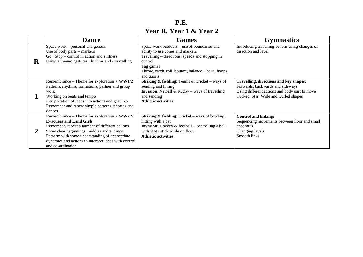**P.E. Year R, Year 1 & Year 2**

|         | <b>Dance</b>                                                                                                                                                                                                                                                                                                     | <b>Games</b>                                                                                                                                                                                                                   | <b>Gymnastics</b>                                                                                                                                                   |
|---------|------------------------------------------------------------------------------------------------------------------------------------------------------------------------------------------------------------------------------------------------------------------------------------------------------------------|--------------------------------------------------------------------------------------------------------------------------------------------------------------------------------------------------------------------------------|---------------------------------------------------------------------------------------------------------------------------------------------------------------------|
| $\bf R$ | Space work – personal and general<br>Use of body parts – markers<br>$Go / Stop - control in action and stillness$<br>Using a theme: gestures, rhythms and storytelling                                                                                                                                           | Space work outdoors – use of boundaries and<br>ability to use cones and markers<br>Travelling – directions, speeds and stopping in<br>control<br>Tag games<br>Throw, catch, roll, bounce, balance - balls, hoops<br>and quoits | Introducing travelling actions using changes of<br>direction and level                                                                                              |
|         | Remembrance – Theme for exploration $>$ WW1/2<br>Patterns, rhythms, formations, partner and group<br>work<br>Working on beats and tempo<br>Interpretation of ideas into actions and gestures<br>Remember and repeat simple patterns, phrases and<br>dances.                                                      | <b>Striking &amp; fielding:</b> Tennis & Cricket – ways of<br>sending and hitting<br><b>Invasion:</b> Netball $\&$ Rugby – ways of travelling<br>and sending<br><b>Athletic activities:</b>                                    | Travelling, directions and key shapes:<br>Forwards, backwards and sideways<br>Using different actions and body part to move<br>Tucked, Star, Wide and Curled shapes |
| 2       | Remembrance – Theme for exploration $>$ WW2 $>$<br><b>Evacuess and Land Girls</b><br>Remember, repeat a number of different actions<br>Show clear beginnings, middles and endings<br>Perform with some understanding of appropriate<br>dynamics and actions to interpret ideas with control<br>and co-ordination | <b>Striking &amp; fielding:</b> Cricket – ways of bowling,<br>hitting with a bat<br><b>Invasion:</b> Hockey $\&$ football – controlling a ball<br>with foot / stick while on floor<br><b>Athletic activities:</b>              | <b>Control and linking:</b><br>Sequencing movements between floor and small<br>apparatus<br>Changing levels<br>Smooth links                                         |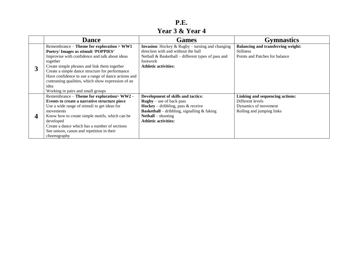#### **P.E. Year 3 & Year 4**

|   | <b>Dance</b>                                                                                                                                                                                                                                                                                                                                                                                                 | <b>Games</b>                                                                                                                                                                                                                          | <b>Gymnastics</b>                                                                                        |
|---|--------------------------------------------------------------------------------------------------------------------------------------------------------------------------------------------------------------------------------------------------------------------------------------------------------------------------------------------------------------------------------------------------------------|---------------------------------------------------------------------------------------------------------------------------------------------------------------------------------------------------------------------------------------|----------------------------------------------------------------------------------------------------------|
|   | Remembrance – Theme for exploration $>$ WW1<br>Poetry/Images as stimuli 'POPPIES'<br>Improvise with confidence and talk about ideas<br>together<br>Create simple phrases and link them together<br>Create a simple dance structure for performance<br>Have confidence to use a range of dance actions and<br>contrasting qualities, which show expression of an<br>idea<br>Working in pairs and small groups | <b>Invasion:</b> Hockey $\&$ Rugby – turning and changing<br>direction with and without the ball<br>Netball $\&$ Basketball – different types of pass and<br>footwork<br><b>Athletic activities:</b>                                  | <b>Balancing and transferring weight:</b><br><b>Stillness</b><br>Points and Patches for balance          |
| 4 | Remembrance - Theme for exploration> WW2 -<br>Events to create a narrative structure piece<br>Use a wide range of stimuli to get ideas for<br>movements<br>Know how to create simple motifs, which can be<br>developed<br>Create a dance which has a number of sections<br>See unison, canon and repetition in their<br>choreography                                                                         | Development of skills and tactics:<br>$\bf{Rugby}$ – use of back pass<br><b>Hockey</b> – dribbling, pass $\&$ receive<br><b>Basketball</b> – dribbling, signalling $\&$ faking<br>$Netball - shooting$<br><b>Athletic activities:</b> | Linking and sequencing actions:<br>Different levels<br>Dynamics of movement<br>Rolling and jumping links |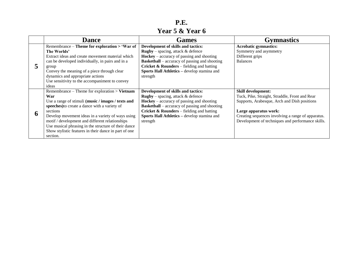**P.E. Year 5 & Year 6**

|  | <b>Dance</b>                                          | <b>Games</b>                                         | <b>Gymnastics</b>                                  |
|--|-------------------------------------------------------|------------------------------------------------------|----------------------------------------------------|
|  | Remembrance – Theme for exploration > 'War of         | Development of skills and tactics:                   | <b>Acrobatic gymnastics:</b>                       |
|  | The Worlds'                                           | <b>Rugby</b> – spacing, attack $\&$ defence          | Symmetry and asymmetry                             |
|  | Extract ideas and create movement material which      | $Hockey - accuracy$ of passing and shooting          | Different grips                                    |
|  | can be developed individually, in pairs and in a      | <b>Basketball</b> – accuracy of passing and shooting | <b>Balances</b>                                    |
|  | group                                                 | <b>Cricket &amp; Rounders</b> – fielding and batting |                                                    |
|  | Convey the meaning of a piece through clear           | Sports Hall Athletics - develop stamina and          |                                                    |
|  | dynamics and appropriate actions                      | strength                                             |                                                    |
|  | Use sensitivity to the accompaniment to convey        |                                                      |                                                    |
|  | ideas                                                 |                                                      |                                                    |
|  | Remembrance – Theme for exploration $>$ Vietnam       | Development of skills and tactics:                   | <b>Skill development:</b>                          |
|  | War                                                   | <b>Rugby</b> – spacing, attack $\&$ defence          | Tuck, Pike, Straight, Straddle, Front and Rear     |
|  | Use a range of stimuli (music / images / texts and    | $Hockey - accuracy$ of passing and shooting          | Supports, Arabesque, Arch and Dish positions       |
|  | speeches) to create a dance with a variety of         | <b>Basketball</b> – accuracy of passing and shooting |                                                    |
|  | sections                                              | <b>Cricket &amp; Rounders</b> – fielding and batting | Large apparatus work:                              |
|  | Develop movement ideas in a variety of ways using     | Sports Hall Athletics - develop stamina and          | Creating sequences involving a range of apparatus. |
|  | motif / development and different relationships       | strength                                             | Development of techniques and performance skills.  |
|  | Use musical phrasing in the structure of their dance  |                                                      |                                                    |
|  | Show stylistic features in their dance in part of one |                                                      |                                                    |
|  | section.                                              |                                                      |                                                    |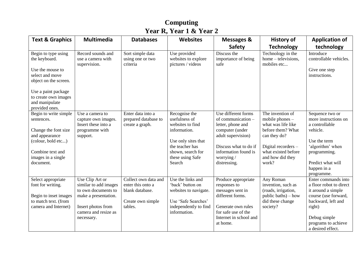### **Computing Year R, Year 1 & Year 2**

| <b>Text &amp; Graphics</b>                                                                                                                                                              | <b>Multimedia</b>                                                                                                                                   | <b>Databases</b>                                                                             | <b>Websites</b>                                                                                                                                                 | <b>Messages &amp;</b>                                                                                                                                                                  | <b>History of</b>                                                                                                                                                           | <b>Application of</b>                                                                                                                                                                    |
|-----------------------------------------------------------------------------------------------------------------------------------------------------------------------------------------|-----------------------------------------------------------------------------------------------------------------------------------------------------|----------------------------------------------------------------------------------------------|-----------------------------------------------------------------------------------------------------------------------------------------------------------------|----------------------------------------------------------------------------------------------------------------------------------------------------------------------------------------|-----------------------------------------------------------------------------------------------------------------------------------------------------------------------------|------------------------------------------------------------------------------------------------------------------------------------------------------------------------------------------|
|                                                                                                                                                                                         |                                                                                                                                                     |                                                                                              |                                                                                                                                                                 | <b>Safety</b>                                                                                                                                                                          | <b>Technology</b>                                                                                                                                                           | technology                                                                                                                                                                               |
| Begin to type using<br>the keyboard.<br>Use the mouse to<br>select and move<br>object on the screen.<br>Use a paint package<br>to create own images<br>and manipulate<br>provided ones. | Record sounds and<br>use a camera with<br>supervision.                                                                                              | Sort simple data<br>using one or two<br>criteria                                             | Use provided<br>websites to explore<br>pictures / videos                                                                                                        | Discuss the<br>importance of being<br>safe                                                                                                                                             | Technology in the<br>home – televisions,<br>mobiles etc                                                                                                                     | Introduce<br>controllable vehicles.<br>Give one step<br>instructions.                                                                                                                    |
| Begin to write simple<br>sentences.<br>Change the font size<br>and appearance<br>(colour, bold etc)<br>Combine text and<br>images in a single<br>document.                              | Use a camera to<br>capture own images.<br>Insert these into a<br>programme with<br>support.                                                         | Enter data into a<br>prepared database to<br>create a graph.                                 | Recognise the<br>usefulness of<br>websites to find<br>information.<br>Use only sites that<br>the teacher has<br>shown, search for<br>these using Safe<br>Search | Use different forms<br>of communication -<br>letter, phone and<br>computer (under<br>adult supervision)<br>Discuss what to do if<br>information found is<br>worrying /<br>distressing. | The invention of<br>mobile phones $-$<br>what was life like<br>before them? What<br>can they do?<br>Digital recorders -<br>what existed before<br>and how did they<br>work? | Sequence two or<br>more instructions on<br>a controllable<br>vehicle.<br>Use the term<br>'algorithm' when<br>programming.<br>Predict what will<br>happen in a<br>programme.              |
| Select appropriate<br>font for writing.<br>Begin to inset images<br>to match text. (from<br>camera and Internet)                                                                        | Use Clip Art or<br>similar to add images<br>to own documents to<br>make a presentation.<br>Insert photos from<br>camera and resize as<br>necessary. | Collect own data and<br>enter this onto a<br>blank database.<br>Create own simple<br>tables. | Use the links and<br>'back' button on<br>websites to navigate.<br>Use 'Safe Searches'<br>independently to find<br>information.                                  | Produce appropriate<br>responses to<br>messages sent in<br>different forms.<br>Generate own rules<br>for safe use of the<br>Internet in school and<br>at home.                         | Any Roman<br>invention, such as<br>(roads, irrigation,<br>public baths) – how<br>did these change<br>society?                                                               | Enter commands into<br>a floor robot to direct<br>it around a simple<br>course (use forward,<br>backward, left and<br>right)<br>Debug simple<br>programs to achieve<br>a desired effect. |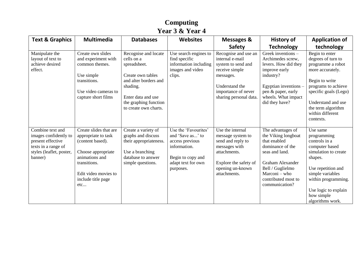| Year 3 & Year 4                                                                                                              |                                                                                                                                                                                |                                                                                                                                                                                      |                                                                                                                                     |                                                                                                                                                                 |                                                                                                                                                                                                         |                                                                                                                                                                                                                              |
|------------------------------------------------------------------------------------------------------------------------------|--------------------------------------------------------------------------------------------------------------------------------------------------------------------------------|--------------------------------------------------------------------------------------------------------------------------------------------------------------------------------------|-------------------------------------------------------------------------------------------------------------------------------------|-----------------------------------------------------------------------------------------------------------------------------------------------------------------|---------------------------------------------------------------------------------------------------------------------------------------------------------------------------------------------------------|------------------------------------------------------------------------------------------------------------------------------------------------------------------------------------------------------------------------------|
| <b>Text &amp; Graphics</b>                                                                                                   | <b>Multimedia</b>                                                                                                                                                              | <b>Databases</b>                                                                                                                                                                     | <b>Websites</b>                                                                                                                     | Messages &                                                                                                                                                      | <b>History of</b>                                                                                                                                                                                       | <b>Application of</b>                                                                                                                                                                                                        |
|                                                                                                                              |                                                                                                                                                                                |                                                                                                                                                                                      |                                                                                                                                     | <b>Safety</b>                                                                                                                                                   | <b>Technology</b>                                                                                                                                                                                       | technology                                                                                                                                                                                                                   |
| Manipulate the<br>layout of text to<br>achieve desired<br>effect.                                                            | Create own slides<br>and experiment with<br>common themes.<br>Use simple<br>transitions.<br>Use video cameras to<br>capture short films                                        | Recognise and locate<br>cells on a<br>spreadsheet.<br>Create own tables<br>and alter borders and<br>shading.<br>Enter data and use<br>the graphing function<br>to create own charts. | Use search engines to<br>find specific<br>information including<br>images and video<br>clips.                                       | Recognise and use an<br>internal e-mail<br>system to send and<br>receive simple<br>messages.<br>Understand the<br>importance of never<br>sharing personal data. | Greek inventions -<br>Archimedes screw,<br>levers. How did they<br>improve early<br>industry?<br>Egyptian inventions -<br>pen & paper, early<br>wheels. What impact<br>did they have?                   | Begin to enter<br>degrees of turn to<br>programme a robot<br>more accurately.<br>Begin to write<br>programs to achieve<br>specific goals (Lego)<br>Understand and use<br>the term algorithm<br>within different<br>contexts. |
| Combine text and<br>images confidently to<br>present effective<br>texts in a range of<br>styles (leaflet, poster,<br>banner) | Create slides that are<br>appropriate to task<br>(content based).<br>Choose appropriate<br>animations and<br>transitions.<br>Edit video movies to<br>include title page<br>etc | Create a variety of<br>graphs and discuss<br>their appropriateness.<br>Use a branching<br>database to answer<br>simple questions.                                                    | Use the 'Favourites'<br>and 'Save as' to<br>access previous<br>information.<br>Begin to copy and<br>adapt text for own<br>purposes. | Use the internal<br>message system to<br>send and reply to<br>messages with<br>attachments.<br>Explore the safety of<br>opening un-known<br>attachments.        | The advantages of<br>the Viking longboat<br>that enabled<br>dominance of the<br>seas and land.<br><b>Graham Alexander</b><br>Bell / Guglielmo<br>Marconi - who<br>contributed most to<br>communication? | Use same<br>programming<br>controls in a<br>computer based<br>simulation to create<br>shapes.<br>Use repetition and<br>simple variables<br>within programming.<br>Use logic to explain<br>how simple<br>algorithms work.     |

**Computing**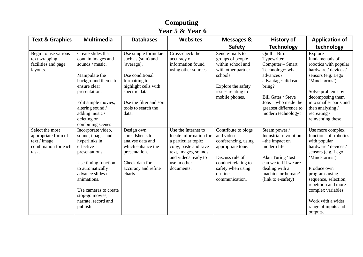### **Computing Year 5 & Year 6**

| <b>Text &amp; Graphics</b>                                                              | <b>Multimedia</b>                                                                                                                                                                                                                                   | <b>Databases</b>                                                                                                                                                                                | <b>Websites</b>                                                                                                                                                           | <b>Messages &amp;</b>                                                                                                                                                    | <b>History of</b>                                                                                                                                                                                                      | <b>Application of</b>                                                                                                                                                                                                                                                                  |
|-----------------------------------------------------------------------------------------|-----------------------------------------------------------------------------------------------------------------------------------------------------------------------------------------------------------------------------------------------------|-------------------------------------------------------------------------------------------------------------------------------------------------------------------------------------------------|---------------------------------------------------------------------------------------------------------------------------------------------------------------------------|--------------------------------------------------------------------------------------------------------------------------------------------------------------------------|------------------------------------------------------------------------------------------------------------------------------------------------------------------------------------------------------------------------|----------------------------------------------------------------------------------------------------------------------------------------------------------------------------------------------------------------------------------------------------------------------------------------|
|                                                                                         |                                                                                                                                                                                                                                                     |                                                                                                                                                                                                 |                                                                                                                                                                           | <b>Safety</b>                                                                                                                                                            | <b>Technology</b>                                                                                                                                                                                                      | technology                                                                                                                                                                                                                                                                             |
| Begin to use various<br>text wrapping<br>facilities and page<br>layouts.                | Create slides that<br>contain images and<br>sounds / music.<br>Manipulate the<br>background theme to<br>ensure clear<br>presentation.<br>Edit simple movies,<br>altering sound /<br>adding music /<br>deleting or<br>combining scenes               | Use simple formulae<br>such as (sum) and<br>(average).<br>Use conditional<br>formatting to<br>highlight cells with<br>specific data.<br>Use the filter and sort<br>tools to search the<br>data. | Cross-check the<br>accuracy of<br>information found<br>using other sources.                                                                                               | Send e-mails to<br>groups of people<br>within school and<br>with other partner<br>schools.<br>Explore the safety<br>issues relating to<br>mobile phones.                 | $Quill - Biro -$<br>Typewriter $-$<br>Computer – Smart<br>Technology: what<br>advances /<br>advantages did each<br>bring?<br>Bill Gates / Steve<br>Jobs – who made the<br>greatest difference to<br>modern technology? | Explore<br>fundamentals of<br>robotics with popular<br>hardware / devices /<br>sensors (e.g. Lego<br>'Mindstorms')<br>Solve problems by<br>decomposing them<br>into smaller parts and<br>then analysing /<br>recreating/<br>reinventing these.                                         |
| Select the most<br>appropriate form of<br>text / image<br>combination for each<br>task. | Incorporate video,<br>sound, images and<br>hyperlinks in<br>effective<br>presentations.<br>Use timing function<br>to automatically<br>advance slides /<br>animations.<br>Use cameras to create<br>stop-go movies;<br>narrate, record and<br>publish | Design own<br>spreadsheets to<br>analyse data and<br>which enhance the<br>presentation.<br>Check data for<br>accuracy and refine<br>charts.                                                     | Use the Internet to<br>locate information for<br>a particular topic;<br>copy, paste and save<br>text, images, sounds<br>and videos ready to<br>use in other<br>documents. | Contribute to blogs<br>and video<br>conferencing, using<br>appropriate tone.<br>Discuss rule of<br>conduct relating to<br>safety when using<br>on-line<br>communication. | Steam power /<br>Industrial revolution<br>-the impact on<br>modern life.<br>Alan Turing 'test' -<br>can we tell if we are<br>dealing with a<br>machine or human?<br>(link to e-safety)                                 | Use more complex<br>functions of robotics<br>with popular<br>hardware / devices /<br>sensors (e.g. Lego<br>'Mindstorms')<br>Produce own<br>programs using<br>sequence, selection,<br>repetition and more<br>complex variables.<br>Work with a wider<br>range of inputs and<br>outputs. |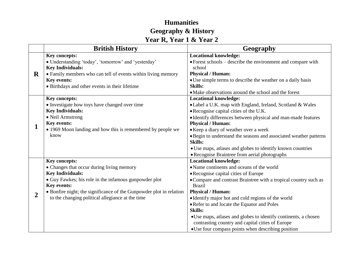### **Humanities Geography & History Year R, Year 1 & Year 2**

|                  | <b>British History</b>                                               | Geography                                                                                    |
|------------------|----------------------------------------------------------------------|----------------------------------------------------------------------------------------------|
|                  | Key concepts:<br>• Understanding 'today', 'tomorrow' and 'yesterday' | <b>Locational knowledge:</b><br>• Forest schools – describe the environment and compare with |
|                  | <b>Key Individuals:</b>                                              | school                                                                                       |
| $\mathbf R$      | • Family members who can tell of events within living memory         | <b>Physical / Human:</b>                                                                     |
|                  | <b>Key events:</b>                                                   | • Use simple terms to describe the weather on a daily basis                                  |
|                  | • Birthdays and other events in their lifetime                       | <b>Skills:</b>                                                                               |
|                  |                                                                      | • Make observations around the school and the forest                                         |
|                  | Key concepts:                                                        | <b>Locational knowledge:</b>                                                                 |
|                  | • Investigate how toys have changed over time                        | • Label a U.K. map with England, Ireland, Scotland & Wales                                   |
|                  | <b>Key Individuals:</b>                                              | • Recognise capital cities of the U.K.                                                       |
|                  | • Neil Armstrong                                                     | • Identify differences between physical and man-made features                                |
| 1                | Key events:                                                          | <b>Physical / Human:</b>                                                                     |
|                  | • 1969 Moon landing and how this is remembered by people we<br>know  | • Keep a diary of weather over a week                                                        |
|                  |                                                                      | • Begin to understand the seasons and associated weather patterns<br><b>Skills:</b>          |
|                  |                                                                      | • Use maps, atlases and globes to identify known countries                                   |
|                  |                                                                      | • Recognise Braintree from aerial photographs                                                |
|                  | Key concepts:                                                        | <b>Locational knowledge:</b>                                                                 |
|                  | • Changes that occur during living memory                            | • Name continents and oceans of the world                                                    |
|                  | <b>Key Individuals:</b>                                              | • Recognise capital cities of Europe                                                         |
|                  | • Guy Fawkes; his role in the infamous gunpowder plot                | • Compare and contrast Braintree with a tropical country such as                             |
|                  | <b>Key events:</b>                                                   | <b>Brazil</b>                                                                                |
| $\boldsymbol{2}$ | • Bonfire night; the significance of the Gunpowder plot in relation  | <b>Physical / Human:</b>                                                                     |
|                  | to the changing political allegiance at the time                     | • Identify major hot and cold regions of the world                                           |
|                  |                                                                      | • Refer to and locate the Equator and Poles                                                  |
|                  |                                                                      | <b>Skills:</b>                                                                               |
|                  |                                                                      | ·Use maps, atlases and globes to identify continents, a chosen                               |
|                  |                                                                      | contrasting country and capital cities of Europe                                             |
|                  |                                                                      | • Use four compass points when describing position                                           |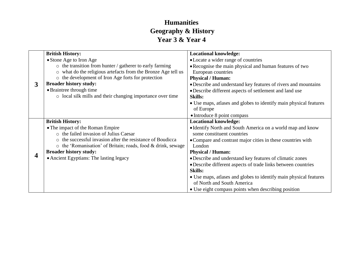#### **Humanities Geography & History Year 3 & Year 4**

|   | <b>British History:</b>                                            | <b>Locational knowledge:</b>                                      |
|---|--------------------------------------------------------------------|-------------------------------------------------------------------|
|   | • Stone Age to Iron Age                                            | • Locate a wider range of countries                               |
|   | $\circ$ the transition from hunter / gatherer to early farming     | • Recognise the main physical and human features of two           |
|   | o what do the religious artefacts from the Bronze Age tell us      | European countries                                                |
|   | o the development of Iron Age forts for protection                 | <b>Physical / Human:</b>                                          |
| 3 | <b>Broader history study:</b>                                      | • Describe and understand key features of rivers and mountains    |
|   | • Braintree through time                                           | • Describe different aspects of settlement and land use           |
|   | o local silk mills and their changing importance over time         | <b>Skills:</b>                                                    |
|   |                                                                    | • Use maps, atlases and globes to identify main physical features |
|   |                                                                    | of Europe                                                         |
|   |                                                                    | • Introduce 8 point compass                                       |
|   | <b>British History:</b>                                            | <b>Locational knowledge:</b>                                      |
|   | • The impact of the Roman Empire                                   | • Identify North and South America on a world map and know        |
|   | o the failed invasion of Julius Caesar                             | some constituent countries                                        |
|   | o the successful invasion after the resistance of Boudicca         | • Compare and contrast major cities in these countries with       |
|   | $\circ$ the 'Romanisation' of Britain; roads, food & drink, sewage | London                                                            |
| 4 | <b>Broader history study:</b>                                      | <b>Physical / Human:</b>                                          |
|   | • Ancient Egyptians: The lasting legacy                            | • Describe and understand key features of climatic zones          |
|   |                                                                    | • Describe different aspects of trade links between countries     |
|   |                                                                    | <b>Skills:</b>                                                    |
|   |                                                                    | • Use maps, atlases and globes to identify main physical features |
|   |                                                                    | of North and South America                                        |
|   |                                                                    | • Use eight compass points when describing position               |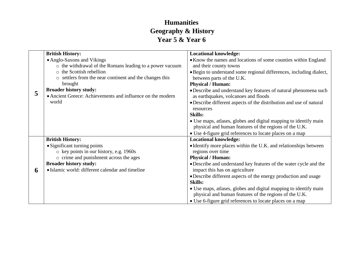#### **Humanities Geography & History Year 5 & Year 6**

|   | <b>British History:</b>                                                                     | <b>Locational knowledge:</b>                                                                             |
|---|---------------------------------------------------------------------------------------------|----------------------------------------------------------------------------------------------------------|
|   | • Anglo-Saxons and Vikings                                                                  | • Know the names and locations of some counties within England                                           |
|   | o the withdrawal of the Romans leading to a power vacuum                                    | and their county towns                                                                                   |
|   | o the Scottish rebellion                                                                    | • Begin to understand some regional differences, including dialect,                                      |
|   | o settlers from the near continent and the changes this                                     | between parts of the U.K.                                                                                |
| 5 | brought                                                                                     | <b>Physical / Human:</b>                                                                                 |
|   | <b>Broader history study:</b><br>• Ancient Greece: Achievements and influence on the modern | · Describe and understand key features of natural phenomena such<br>as earthquakes, volcanoes and floods |
|   | world                                                                                       | • Describe different aspects of the distribution and use of natural<br>resources                         |
|   |                                                                                             | <b>Skills:</b>                                                                                           |
|   |                                                                                             | • Use maps, atlases, globes and digital mapping to identify main                                         |
|   |                                                                                             | physical and human features of the regions of the U.K.                                                   |
|   |                                                                                             | • Use 4-figure grid references to locate places on a map                                                 |
|   | <b>British History:</b>                                                                     | <b>Locational knowledge:</b>                                                                             |
|   | • Significant turning points                                                                | • Identify more places within the U.K. and relationships between                                         |
|   | o key points in our history, e.g. 1960s                                                     | regions over time                                                                                        |
|   | o crime and punishment across the ages                                                      | <b>Physical / Human:</b>                                                                                 |
|   | <b>Broader history study:</b>                                                               | • Describe and understand key features of the water cycle and the                                        |
| 6 | • Islamic world: different calendar and timeline                                            | impact this has on agriculture                                                                           |
|   |                                                                                             | • Describe different aspects of the energy production and usage                                          |
|   |                                                                                             | <b>Skills:</b>                                                                                           |
|   |                                                                                             | • Use maps, atlases, globes and digital mapping to identify main                                         |
|   |                                                                                             | physical and human features of the regions of the U.K.                                                   |
|   |                                                                                             | • Use 6-figure grid references to locate places on a map                                                 |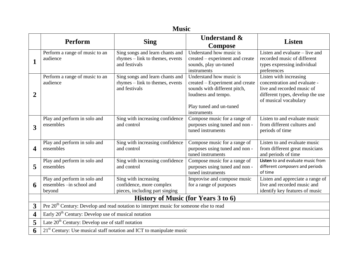|                         | <b>Music</b>                                                                                        |                                                                                     |                                                                                                                                                             |                                                                                                                                                   |  |
|-------------------------|-----------------------------------------------------------------------------------------------------|-------------------------------------------------------------------------------------|-------------------------------------------------------------------------------------------------------------------------------------------------------------|---------------------------------------------------------------------------------------------------------------------------------------------------|--|
|                         | Perform                                                                                             | <b>Sing</b>                                                                         | <b>Understand &amp;</b><br><b>Compose</b>                                                                                                                   | <b>Listen</b>                                                                                                                                     |  |
| $\mathbf{1}$            | Perform a range of music to an<br>audience                                                          | Sing songs and learn chants and<br>rhymes – link to themes, events<br>and festivals | Understand how music is<br>created – experiment and create<br>sounds, play un-tuned<br>instruments                                                          | Listen and evaluate – live and<br>recorded music of different<br>types expressing individual<br>preferences                                       |  |
| $\overline{2}$          | Perform a range of music to an<br>audience                                                          | Sing songs and learn chants and<br>rhymes – link to themes, events<br>and festivals | Understand how music is<br>created – Experiment and create<br>sounds with different pitch,<br>loudness and tempo.<br>Play tuned and un-tuned<br>instruments | Listen with increasing<br>concentration and evaluate -<br>live and recorded music of<br>different types, develop the use<br>of musical vocabulary |  |
| $\overline{\mathbf{3}}$ | Play and perform in solo and<br>ensembles                                                           | Sing with increasing confidence<br>and control                                      | Compose music for a range of<br>purposes using tuned and non-<br>tuned instruments                                                                          | Listen to and evaluate music<br>from different cultures and<br>periods of time                                                                    |  |
| $\overline{\mathbf{4}}$ | Play and perform in solo and<br>ensembles                                                           | Sing with increasing confidence<br>and control                                      | Compose music for a range of<br>purposes using tuned and non-<br>tuned instruments                                                                          | Listen to and evaluate music<br>from different great musicians<br>and periods of time                                                             |  |
| 5                       | Play and perform in solo and<br>ensembles                                                           | Sing with increasing confidence<br>and control                                      | Compose music for a range of<br>purposes using tuned and non-<br>tuned instruments                                                                          | Listen to and evaluate music from<br>different composers and periods<br>of time                                                                   |  |
| 6                       | Play and perform in solo and<br>ensembles -in school and<br>beyond                                  | Sing with increasing<br>confidence, more complex<br>pieces, including part singing  | Improvise and compose music<br>for a range of purposes                                                                                                      | Listen and appreciate a range of<br>live and recorded music and<br>identify key features of music                                                 |  |
|                         | History of Music (for Years 3 to 6)                                                                 |                                                                                     |                                                                                                                                                             |                                                                                                                                                   |  |
| $\overline{3}$          | Pre 20 <sup>th</sup> Century: Develop and read notation to interpret music for someone else to read |                                                                                     |                                                                                                                                                             |                                                                                                                                                   |  |
| $\overline{\mathbf{4}}$ | Early $20th$ Century: Develop use of musical notation                                               |                                                                                     |                                                                                                                                                             |                                                                                                                                                   |  |
| 5                       | Late $20th$ Century: Develop use of staff notation                                                  |                                                                                     |                                                                                                                                                             |                                                                                                                                                   |  |
| 6                       | $21st$ Century: Use musical staff notation and ICT to manipulate music                              |                                                                                     |                                                                                                                                                             |                                                                                                                                                   |  |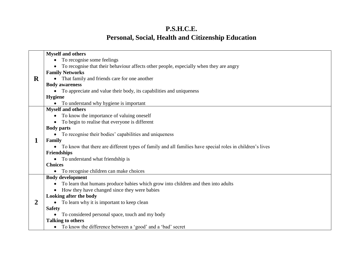### **P.S.H.C.E. Personal, Social, Health and Citizenship Education**

|   | <b>Myself and others</b>                                                                                   |
|---|------------------------------------------------------------------------------------------------------------|
|   | To recognise some feelings                                                                                 |
|   | To recognise that their behaviour affects other people, especially when they are angry                     |
|   | <b>Family Networks</b>                                                                                     |
| R | • That family and friends care for one another                                                             |
|   | <b>Body awareness</b>                                                                                      |
|   | • To appreciate and value their body, its capabilities and uniqueness                                      |
|   | <b>Hygiene</b>                                                                                             |
|   | To understand why hygiene is important                                                                     |
|   | <b>Myself and others</b>                                                                                   |
|   | To know the importance of valuing oneself                                                                  |
|   | To begin to realise that everyone is different                                                             |
|   | <b>Body parts</b>                                                                                          |
|   | • To recognise their bodies' capabilities and uniqueness                                                   |
| 1 | Family                                                                                                     |
|   | • To know that there are different types of family and all families have special roles in children's lives |
|   | <b>Friendships</b>                                                                                         |
|   | • To understand what friendship is                                                                         |
|   | <b>Choices</b>                                                                                             |
|   | To recognise children can make choices                                                                     |
|   | <b>Body development</b>                                                                                    |
|   | To learn that humans produce babies which grow into children and then into adults                          |
|   | How they have changed since they were babies                                                               |
|   | Looking after the body                                                                                     |
| 2 | • To learn why it is important to keep clean                                                               |
|   | <b>Safety</b>                                                                                              |
|   | • To considered personal space, touch and my body                                                          |
|   | <b>Talking to others</b>                                                                                   |
|   | • To know the difference between a 'good' and a 'bad' secret                                               |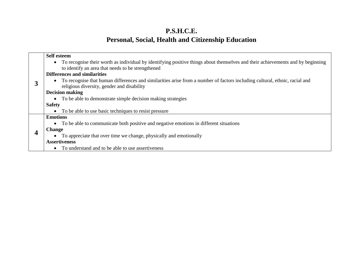# **P.S.H.C.E. Personal, Social, Health and Citizenship Education**

|                 | <b>Self esteem</b>                                                                                                                                                                    |  |  |  |  |
|-----------------|---------------------------------------------------------------------------------------------------------------------------------------------------------------------------------------|--|--|--|--|
|                 | • To recognise their worth as individual by identifying positive things about themselves and their achievements and by beginning<br>to identify an area that needs to be strengthened |  |  |  |  |
|                 | <b>Differences and similarities</b>                                                                                                                                                   |  |  |  |  |
| 3               | • To recognise that human differences and similarities arise from a number of factors including cultural, ethnic, racial and<br>religious diversity, gender and disability            |  |  |  |  |
|                 | <b>Decision making</b>                                                                                                                                                                |  |  |  |  |
|                 | • To be able to demonstrate simple decision making strategies                                                                                                                         |  |  |  |  |
|                 | <b>Safety</b>                                                                                                                                                                         |  |  |  |  |
|                 | To be able to use basic techniques to resist pressure<br>$\bullet$                                                                                                                    |  |  |  |  |
| <b>Emotions</b> |                                                                                                                                                                                       |  |  |  |  |
|                 | • To be able to communicate both positive and negative emotions in different situations                                                                                               |  |  |  |  |
|                 | <b>Change</b>                                                                                                                                                                         |  |  |  |  |
|                 | • To appreciate that over time we change, physically and emotionally                                                                                                                  |  |  |  |  |
|                 | <b>Assertiveness</b>                                                                                                                                                                  |  |  |  |  |
|                 | To understand and to be able to use assertiveness<br>$\bullet$                                                                                                                        |  |  |  |  |